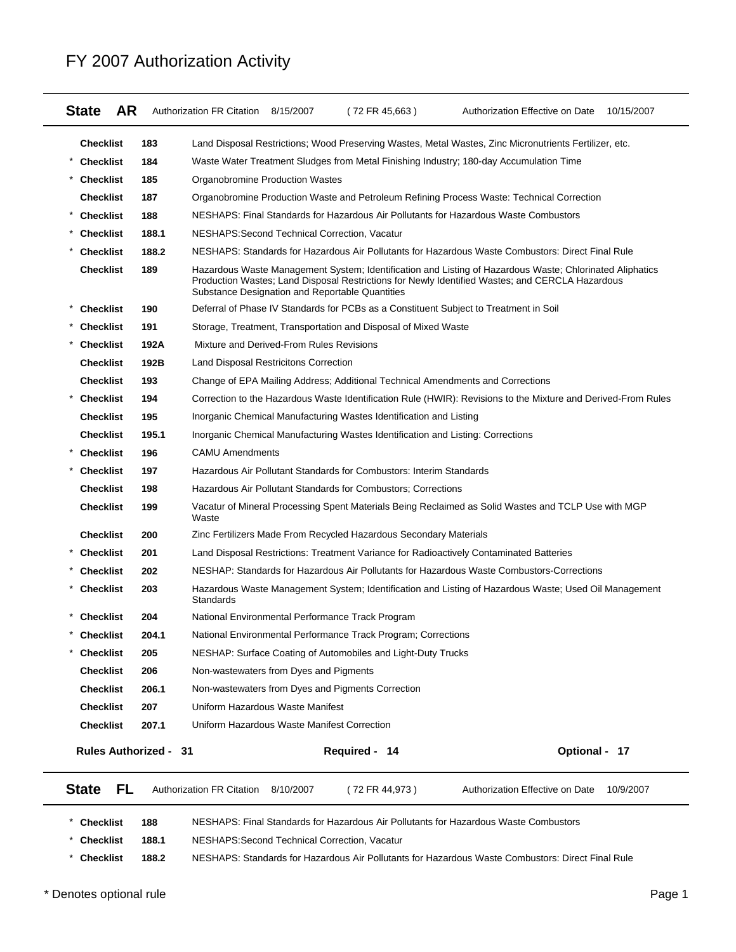#### **State AR** Authorization FR Citation 8/15/2007 (72 FR 45,663) Authorization Effective on Date 10/15/2007 **Checklist 183** Land Disposal Restrictions; Wood Preserving Wastes, Metal Wastes, Zinc Micronutrients Fertilizer, etc. \* **Checklist 184** Waste Water Treatment Sludges from Metal Finishing Industry; 180-day Accumulation Time **Checklist 185** Organobromine Production Wastes **Checklist 187** Organobromine Production Waste and Petroleum Refining Process Waste: Technical Correction \* **Checklist 188** NESHAPS: Final Standards for Hazardous Air Pollutants for Hazardous Waste Combustors **Checklist 188.1** NESHAPS:Second Technical Correction, Vacatur \* **Checklist 188.2** NESHAPS: Standards for Hazardous Air Pollutants for Hazardous Waste Combustors: Direct Final Rule **Checklist 189** Hazardous Waste Management System; Identification and Listing of Hazardous Waste; Chlorinated Aliphatics Production Wastes; Land Disposal Restrictions for Newly Identified Wastes; and CERCLA Hazardous Substance Designation and Reportable Quantities **Checklist 190** Deferral of Phase IV Standards for PCBs as a Constituent Subject to Treatment in Soil **Checklist 191** Storage, Treatment, Transportation and Disposal of Mixed Waste \* **Checklist 192A** Mixture and Derived-From Rules Revisions **Checklist 192B** Land Disposal Restricitons Correction **Checklist 193** Change of EPA Mailing Address; Additional Technical Amendments and Corrections \* **Checklist 194** Correction to the Hazardous Waste Identification Rule (HWIR): Revisions to the Mixture and Derived-From Rules **Checklist 195** Inorganic Chemical Manufacturing Wastes Identification and Listing **Checklist 195.1** Inorganic Chemical Manufacturing Wastes Identification and Listing: Corrections **Checklist 196 CAMU Amendments** \* **Checklist 197** Hazardous Air Pollutant Standards for Combustors: Interim Standards **Checklist 198** Hazardous Air Pollutant Standards for Combustors; Corrections **Checklist 199** Vacatur of Mineral Processing Spent Materials Being Reclaimed as Solid Wastes and TCLP Use with MGP Waste **Checklist 200** Zinc Fertilizers Made From Recycled Hazardous Secondary Materials **Checklist 201** Land Disposal Restrictions: Treatment Variance for Radioactively Contaminated Batteries \* **Checklist 202** NESHAP: Standards for Hazardous Air Pollutants for Hazardous Waste Combustors-Corrections **Checklist 203** Hazardous Waste Management System; Identification and Listing of Hazardous Waste; Used Oil Management **Standards** \* \* **Checklist 204** National Environmental Performance Track Program **Checklist 204.1** National Environmental Performance Track Program; Corrections \* **Checklist 205** NESHAP: Surface Coating of Automobiles and Light-Duty Trucks **Checklist 206** Non-wastewaters from Dyes and Pigments **Checklist 206.1** Non-wastewaters from Dyes and Pigments Correction **Checklist 207** Uniform Hazardous Waste Manifest **Checklist 207.1** Uniform Hazardous Waste Manifest Correction **Rules Authorized - Required - Optional - 31 14 17 State FL** Authorization FR Citation 8/10/2007 (72 FR 44,973) Authorization Effective on Date 10/9/2007

### FY 2007 Authorization Activity

\* **Checklist 188** NESHAPS: Final Standards for Hazardous Air Pollutants for Hazardous Waste Combustors \* **Checklist 188.1** NESHAPS:Second Technical Correction, Vacatur \* **Checklist 188.2** NESHAPS: Standards for Hazardous Air Pollutants for Hazardous Waste Combustors: Direct Final Rule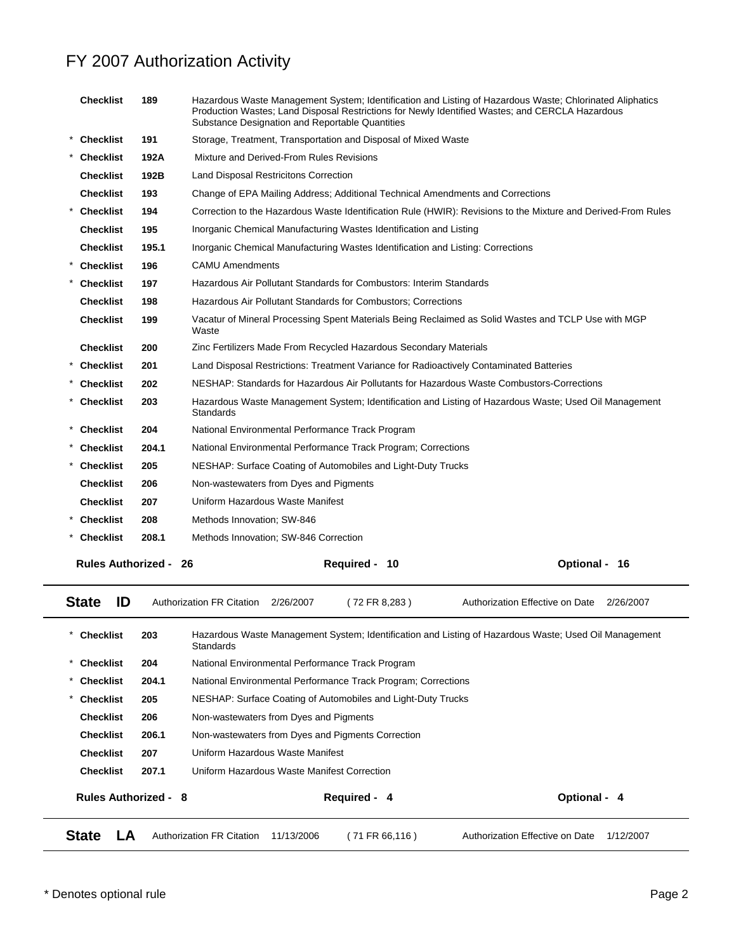| <b>Checklist</b>          | 189   | Hazardous Waste Management System; Identification and Listing of Hazardous Waste; Chlorinated Aliphatics<br>Production Wastes; Land Disposal Restrictions for Newly Identified Wastes; and CERCLA Hazardous<br>Substance Designation and Reportable Quantities |               |
|---------------------------|-------|----------------------------------------------------------------------------------------------------------------------------------------------------------------------------------------------------------------------------------------------------------------|---------------|
| * Checklist               | 191   | Storage, Treatment, Transportation and Disposal of Mixed Waste                                                                                                                                                                                                 |               |
| <b>Checklist</b>          | 192A  | Mixture and Derived-From Rules Revisions                                                                                                                                                                                                                       |               |
| <b>Checklist</b>          | 192B  | Land Disposal Restricitons Correction                                                                                                                                                                                                                          |               |
| <b>Checklist</b>          | 193   | Change of EPA Mailing Address; Additional Technical Amendments and Corrections                                                                                                                                                                                 |               |
| * Checklist               | 194   | Correction to the Hazardous Waste Identification Rule (HWIR): Revisions to the Mixture and Derived-From Rules                                                                                                                                                  |               |
| <b>Checklist</b>          | 195   | Inorganic Chemical Manufacturing Wastes Identification and Listing                                                                                                                                                                                             |               |
| <b>Checklist</b>          | 195.1 | Inorganic Chemical Manufacturing Wastes Identification and Listing: Corrections                                                                                                                                                                                |               |
| <b>Checklist</b>          | 196   | <b>CAMU Amendments</b>                                                                                                                                                                                                                                         |               |
| <b>Checklist</b>          | 197   | Hazardous Air Pollutant Standards for Combustors: Interim Standards                                                                                                                                                                                            |               |
| <b>Checklist</b>          | 198   | Hazardous Air Pollutant Standards for Combustors; Corrections                                                                                                                                                                                                  |               |
| <b>Checklist</b>          | 199   | Vacatur of Mineral Processing Spent Materials Being Reclaimed as Solid Wastes and TCLP Use with MGP<br>Waste                                                                                                                                                   |               |
| <b>Checklist</b>          | 200   | Zinc Fertilizers Made From Recycled Hazardous Secondary Materials                                                                                                                                                                                              |               |
| * Checklist               | 201   | Land Disposal Restrictions: Treatment Variance for Radioactively Contaminated Batteries                                                                                                                                                                        |               |
| * Checklist               | 202   | NESHAP: Standards for Hazardous Air Pollutants for Hazardous Waste Combustors-Corrections                                                                                                                                                                      |               |
| <b>Checklist</b>          | 203   | Hazardous Waste Management System; Identification and Listing of Hazardous Waste; Used Oil Management<br><b>Standards</b>                                                                                                                                      |               |
| * Checklist               | 204   | National Environmental Performance Track Program                                                                                                                                                                                                               |               |
| * Checklist               | 204.1 | National Environmental Performance Track Program; Corrections                                                                                                                                                                                                  |               |
| <b>Checklist</b>          | 205   | NESHAP: Surface Coating of Automobiles and Light-Duty Trucks                                                                                                                                                                                                   |               |
| <b>Checklist</b>          | 206   | Non-wastewaters from Dyes and Pigments                                                                                                                                                                                                                         |               |
| <b>Checklist</b>          | 207   | Uniform Hazardous Waste Manifest                                                                                                                                                                                                                               |               |
| * Checklist               | 208   | Methods Innovation; SW-846                                                                                                                                                                                                                                     |               |
| * Checklist               | 208.1 | Methods Innovation; SW-846 Correction                                                                                                                                                                                                                          |               |
| <b>Rules Authorized -</b> |       | Required - 10<br>26                                                                                                                                                                                                                                            | Optional - 16 |

| <b>State</b>                | ID                                                                                      |                                                   | Authorization FR Citation                   | 2/26/2007  | 72 FR 8.283 )                                                 | Authorization Effective on Date                                                                       | 2/26/2007 |
|-----------------------------|-----------------------------------------------------------------------------------------|---------------------------------------------------|---------------------------------------------|------------|---------------------------------------------------------------|-------------------------------------------------------------------------------------------------------|-----------|
| *<br>Checklist              |                                                                                         | 203                                               | Standards                                   |            |                                                               | Hazardous Waste Management System; Identification and Listing of Hazardous Waste; Used Oil Management |           |
| $\star$<br><b>Checklist</b> |                                                                                         | 204                                               |                                             |            | National Environmental Performance Track Program              |                                                                                                       |           |
| $\ast$<br><b>Checklist</b>  |                                                                                         | 204.1                                             |                                             |            | National Environmental Performance Track Program; Corrections |                                                                                                       |           |
| $\star$                     | 205<br>NESHAP: Surface Coating of Automobiles and Light-Duty Trucks<br><b>Checklist</b> |                                                   |                                             |            |                                                               |                                                                                                       |           |
| <b>Checklist</b>            |                                                                                         | 206                                               | Non-wastewaters from Dyes and Pigments      |            |                                                               |                                                                                                       |           |
| 206.1<br>Checklist          |                                                                                         | Non-wastewaters from Dyes and Pigments Correction |                                             |            |                                                               |                                                                                                       |           |
| Checklist                   |                                                                                         | 207                                               | Uniform Hazardous Waste Manifest            |            |                                                               |                                                                                                       |           |
| <b>Checklist</b>            |                                                                                         | 207.1                                             | Uniform Hazardous Waste Manifest Correction |            |                                                               |                                                                                                       |           |
|                             |                                                                                         | <b>Rules Authorized - 8</b>                       |                                             |            | Required - 4                                                  | Optional - 4                                                                                          |           |
| <b>State</b>                | LA                                                                                      |                                                   | <b>Authorization FR Citation</b>            | 11/13/2006 | (71 FR 66,116)                                                | Authorization Effective on Date                                                                       | 1/12/2007 |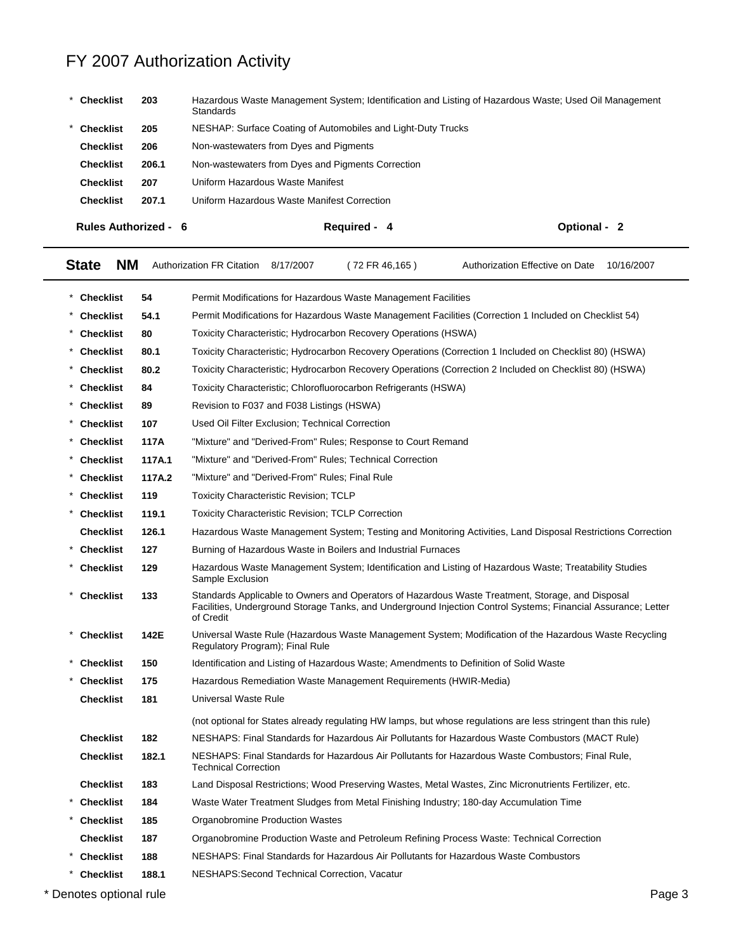| Checklist                                                                      | 203                         | Hazardous Waste Management System; Identification and Listing of Hazardous Waste; Used Oil Management<br><b>Standards</b> |              |
|--------------------------------------------------------------------------------|-----------------------------|---------------------------------------------------------------------------------------------------------------------------|--------------|
| <b>Checklist</b>                                                               | 205                         | NESHAP: Surface Coating of Automobiles and Light-Duty Trucks                                                              |              |
| <b>Checklist</b><br>206                                                        |                             | Non-wastewaters from Dyes and Pigments                                                                                    |              |
| Non-wastewaters from Dyes and Pigments Correction<br><b>Checklist</b><br>206.1 |                             |                                                                                                                           |              |
| 207<br><b>Checklist</b>                                                        |                             | Uniform Hazardous Waste Manifest                                                                                          |              |
| <b>Checklist</b>                                                               | 207.1                       | Uniform Hazardous Waste Manifest Correction                                                                               |              |
|                                                                                | <b>Rules Authorized - 6</b> | Required - 4                                                                                                              | Optional - 2 |

| <b>State</b><br><b>NM</b>                                                                                            |        | <b>Authorization FR Citation</b><br>(72 FR 46, 165)<br>Authorization Effective on Date<br>10/16/2007<br>8/17/2007                                                                                                              |  |  |  |
|----------------------------------------------------------------------------------------------------------------------|--------|--------------------------------------------------------------------------------------------------------------------------------------------------------------------------------------------------------------------------------|--|--|--|
| * Checklist                                                                                                          | 54     | Permit Modifications for Hazardous Waste Management Facilities                                                                                                                                                                 |  |  |  |
| <b>Checklist</b>                                                                                                     | 54.1   | Permit Modifications for Hazardous Waste Management Facilities (Correction 1 Included on Checklist 54)                                                                                                                         |  |  |  |
| * Checklist                                                                                                          | 80     | Toxicity Characteristic; Hydrocarbon Recovery Operations (HSWA)                                                                                                                                                                |  |  |  |
| <b>Checklist</b>                                                                                                     | 80.1   | Toxicity Characteristic; Hydrocarbon Recovery Operations (Correction 1 Included on Checklist 80) (HSWA)                                                                                                                        |  |  |  |
| * Checklist                                                                                                          | 80.2   | Toxicity Characteristic; Hydrocarbon Recovery Operations (Correction 2 Included on Checklist 80) (HSWA)                                                                                                                        |  |  |  |
| <b>Checklist</b>                                                                                                     | 84     | Toxicity Characteristic; Chlorofluorocarbon Refrigerants (HSWA)                                                                                                                                                                |  |  |  |
| * Checklist                                                                                                          | 89     | Revision to F037 and F038 Listings (HSWA)                                                                                                                                                                                      |  |  |  |
| <b>Checklist</b>                                                                                                     | 107    | Used Oil Filter Exclusion; Technical Correction                                                                                                                                                                                |  |  |  |
| * Checklist                                                                                                          | 117A   | "Mixture" and "Derived-From" Rules; Response to Court Remand                                                                                                                                                                   |  |  |  |
| <b>Checklist</b>                                                                                                     | 117A.1 | "Mixture" and "Derived-From" Rules; Technical Correction                                                                                                                                                                       |  |  |  |
| * Checklist                                                                                                          | 117A.2 | "Mixture" and "Derived-From" Rules: Final Rule                                                                                                                                                                                 |  |  |  |
| <b>Checklist</b>                                                                                                     | 119    | <b>Toxicity Characteristic Revision; TCLP</b>                                                                                                                                                                                  |  |  |  |
| <b>Checklist</b>                                                                                                     | 119.1  | <b>Toxicity Characteristic Revision: TCLP Correction</b>                                                                                                                                                                       |  |  |  |
| <b>Checklist</b>                                                                                                     | 126.1  | Hazardous Waste Management System; Testing and Monitoring Activities, Land Disposal Restrictions Correction                                                                                                                    |  |  |  |
| <b>Checklist</b>                                                                                                     | 127    | Burning of Hazardous Waste in Boilers and Industrial Furnaces                                                                                                                                                                  |  |  |  |
| <b>Checklist</b>                                                                                                     | 129    | Hazardous Waste Management System; Identification and Listing of Hazardous Waste; Treatability Studies<br>Sample Exclusion                                                                                                     |  |  |  |
| <b>Checklist</b>                                                                                                     | 133    | Standards Applicable to Owners and Operators of Hazardous Waste Treatment, Storage, and Disposal<br>Facilities, Underground Storage Tanks, and Underground Injection Control Systems; Financial Assurance; Letter<br>of Credit |  |  |  |
| <b>Checklist</b>                                                                                                     | 142E   | Universal Waste Rule (Hazardous Waste Management System; Modification of the Hazardous Waste Recycling<br>Regulatory Program); Final Rule                                                                                      |  |  |  |
| <b>Checklist</b>                                                                                                     | 150    | Identification and Listing of Hazardous Waste; Amendments to Definition of Solid Waste                                                                                                                                         |  |  |  |
| <b>Checklist</b>                                                                                                     | 175    | Hazardous Remediation Waste Management Requirements (HWIR-Media)                                                                                                                                                               |  |  |  |
| <b>Checklist</b>                                                                                                     | 181    | Universal Waste Rule                                                                                                                                                                                                           |  |  |  |
|                                                                                                                      |        | (not optional for States already regulating HW lamps, but whose regulations are less stringent than this rule)                                                                                                                 |  |  |  |
| <b>Checklist</b>                                                                                                     | 182    | NESHAPS: Final Standards for Hazardous Air Pollutants for Hazardous Waste Combustors (MACT Rule)                                                                                                                               |  |  |  |
| <b>Checklist</b>                                                                                                     | 182.1  | NESHAPS: Final Standards for Hazardous Air Pollutants for Hazardous Waste Combustors; Final Rule,<br><b>Technical Correction</b>                                                                                               |  |  |  |
| <b>Checklist</b>                                                                                                     | 183    | Land Disposal Restrictions; Wood Preserving Wastes, Metal Wastes, Zinc Micronutrients Fertilizer, etc.                                                                                                                         |  |  |  |
| <b>Checklist</b>                                                                                                     | 184    | Waste Water Treatment Sludges from Metal Finishing Industry; 180-day Accumulation Time                                                                                                                                         |  |  |  |
| <b>Checklist</b>                                                                                                     | 185    | Organobromine Production Wastes                                                                                                                                                                                                |  |  |  |
| <b>Checklist</b><br>187<br>Organobromine Production Waste and Petroleum Refining Process Waste: Technical Correction |        |                                                                                                                                                                                                                                |  |  |  |
| <b>Checklist</b>                                                                                                     | 188    | NESHAPS: Final Standards for Hazardous Air Pollutants for Hazardous Waste Combustors                                                                                                                                           |  |  |  |
| <b>Checklist</b>                                                                                                     | 188.1  | NESHAPS: Second Technical Correction, Vacatur                                                                                                                                                                                  |  |  |  |

\* Denotes optional rule Page 3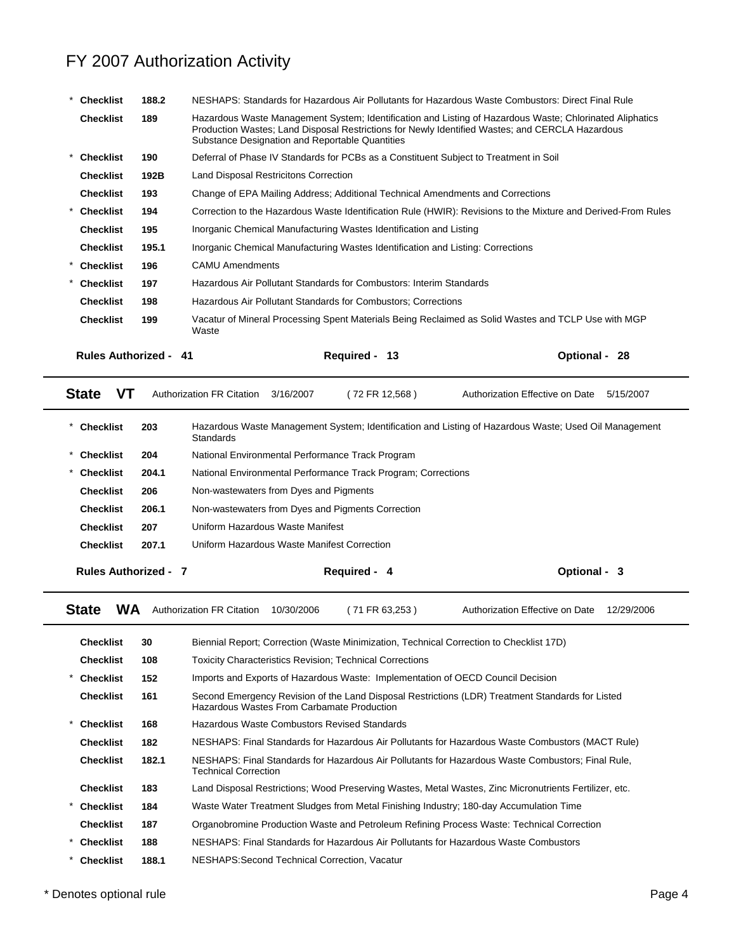|         | <b>Checklist</b>             | 188.2 | NESHAPS: Standards for Hazardous Air Pollutants for Hazardous Waste Combustors: Direct Final Rule                                                                                                                                                              |               |
|---------|------------------------------|-------|----------------------------------------------------------------------------------------------------------------------------------------------------------------------------------------------------------------------------------------------------------------|---------------|
|         | <b>Checklist</b>             | 189   | Hazardous Waste Management System; Identification and Listing of Hazardous Waste; Chlorinated Aliphatics<br>Production Wastes; Land Disposal Restrictions for Newly Identified Wastes; and CERCLA Hazardous<br>Substance Designation and Reportable Quantities |               |
|         | <b>Checklist</b>             | 190   | Deferral of Phase IV Standards for PCBs as a Constituent Subject to Treatment in Soil                                                                                                                                                                          |               |
|         | <b>Checklist</b>             | 192B  | Land Disposal Restricitons Correction                                                                                                                                                                                                                          |               |
|         | <b>Checklist</b>             | 193   | Change of EPA Mailing Address; Additional Technical Amendments and Corrections                                                                                                                                                                                 |               |
| $\ast$  | Checklist                    | 194   | Correction to the Hazardous Waste Identification Rule (HWIR): Revisions to the Mixture and Derived-From Rules                                                                                                                                                  |               |
|         | <b>Checklist</b>             | 195   | Inorganic Chemical Manufacturing Wastes Identification and Listing                                                                                                                                                                                             |               |
|         | <b>Checklist</b>             | 195.1 | Inorganic Chemical Manufacturing Wastes Identification and Listing: Corrections                                                                                                                                                                                |               |
| $\star$ | <b>Checklist</b>             | 196   | <b>CAMU Amendments</b>                                                                                                                                                                                                                                         |               |
|         | <b>Checklist</b>             | 197   | Hazardous Air Pollutant Standards for Combustors: Interim Standards                                                                                                                                                                                            |               |
|         | <b>Checklist</b>             | 198   | Hazardous Air Pollutant Standards for Combustors; Corrections                                                                                                                                                                                                  |               |
|         | <b>Checklist</b>             | 199   | Vacatur of Mineral Processing Spent Materials Being Reclaimed as Solid Wastes and TCLP Use with MGP<br>Waste                                                                                                                                                   |               |
|         | <b>Rules Authorized - 41</b> |       | <b>Required -</b><br>-13                                                                                                                                                                                                                                       | Optional - 28 |

| <b>State</b><br>VТ          |       | <b>Authorization FR Citation</b><br>3/16/2007                 | (72 FR 12,568) | Authorization Effective on Date                                                                       | 5/15/2007 |
|-----------------------------|-------|---------------------------------------------------------------|----------------|-------------------------------------------------------------------------------------------------------|-----------|
| <b>Checklist</b>            | 203   | Standards                                                     |                | Hazardous Waste Management System; Identification and Listing of Hazardous Waste; Used Oil Management |           |
| <b>Checklist</b>            | 204   | National Environmental Performance Track Program              |                |                                                                                                       |           |
| <b>Checklist</b>            | 204.1 | National Environmental Performance Track Program; Corrections |                |                                                                                                       |           |
| <b>Checklist</b>            | 206   | Non-wastewaters from Dyes and Pigments                        |                |                                                                                                       |           |
| <b>Checklist</b>            | 206.1 | Non-wastewaters from Dyes and Pigments Correction             |                |                                                                                                       |           |
| <b>Checklist</b>            | 207   | Uniform Hazardous Waste Manifest                              |                |                                                                                                       |           |
| <b>Checklist</b>            | 207.1 | Uniform Hazardous Waste Manifest Correction                   |                |                                                                                                       |           |
| <b>Rules Authorized - 7</b> |       |                                                               | Required - 4   | Optional - 3                                                                                          |           |

State WA Authorization FR Citation 10/30/2006 (71 FR 63,253) Authorization Effective on Date 12/29/2006

**Checklist 30** Biennial Report; Correction (Waste Minimization, Technical Correction to Checklist 17D) **Checklist 108** Toxicity Characteristics Revision; Technical Corrections \* **Checklist 152** Imports and Exports of Hazardous Waste: Implementation of OECD Council Decision **Checklist 161** Second Emergency Revision of the Land Disposal Restrictions (LDR) Treatment Standards for Listed Hazardous Wastes From Carbamate Production **Checklist 168** Hazardous Waste Combustors Revised Standards **Checklist 182** NESHAPS: Final Standards for Hazardous Air Pollutants for Hazardous Waste Combustors (MACT Rule) **Checklist 182.1** NESHAPS: Final Standards for Hazardous Air Pollutants for Hazardous Waste Combustors; Final Rule, Technical Correction **Checklist 183** Land Disposal Restrictions; Wood Preserving Wastes, Metal Wastes, Zinc Micronutrients Fertilizer, etc. \* **Checklist 184** Waste Water Treatment Sludges from Metal Finishing Industry; 180-day Accumulation Time **Checklist 187** Organobromine Production Waste and Petroleum Refining Process Waste: Technical Correction \* **Checklist 188** NESHAPS: Final Standards for Hazardous Air Pollutants for Hazardous Waste Combustors \* **Checklist 188.1** NESHAPS:Second Technical Correction, Vacatur